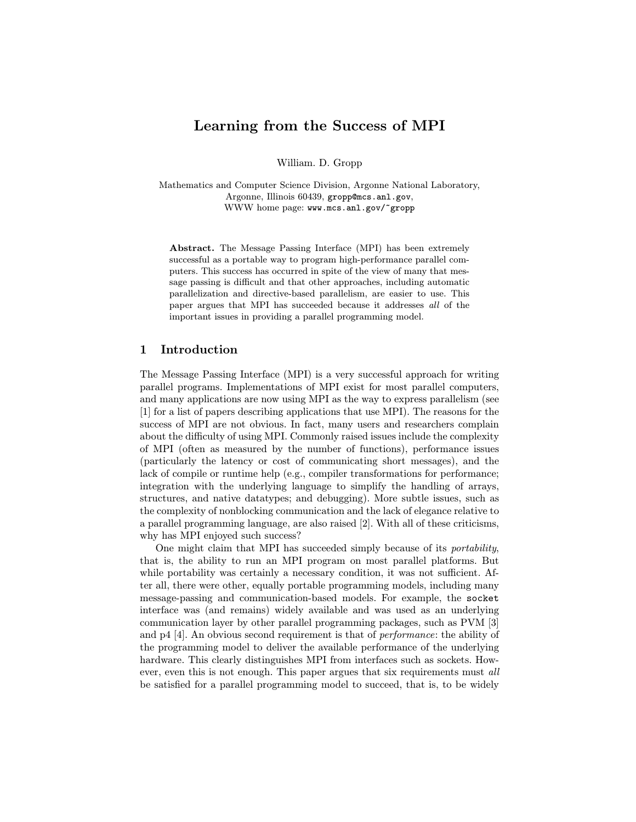# Learning from the Success of MPI

William. D. Gropp

Mathematics and Computer Science Division, Argonne National Laboratory, Argonne, Illinois 60439, gropp@mcs.anl.gov, WWW home page: www.mcs.anl.gov/~gropp

Abstract. The Message Passing Interface (MPI) has been extremely successful as a portable way to program high-performance parallel computers. This success has occurred in spite of the view of many that message passing is difficult and that other approaches, including automatic parallelization and directive-based parallelism, are easier to use. This paper argues that MPI has succeeded because it addresses all of the important issues in providing a parallel programming model.

## 1 Introduction

The Message Passing Interface (MPI) is a very successful approach for writing parallel programs. Implementations of MPI exist for most parallel computers, and many applications are now using MPI as the way to express parallelism (see [1] for a list of papers describing applications that use MPI). The reasons for the success of MPI are not obvious. In fact, many users and researchers complain about the difficulty of using MPI. Commonly raised issues include the complexity of MPI (often as measured by the number of functions), performance issues (particularly the latency or cost of communicating short messages), and the lack of compile or runtime help (e.g., compiler transformations for performance; integration with the underlying language to simplify the handling of arrays, structures, and native datatypes; and debugging). More subtle issues, such as the complexity of nonblocking communication and the lack of elegance relative to a parallel programming language, are also raised [2]. With all of these criticisms, why has MPI enjoyed such success?

One might claim that MPI has succeeded simply because of its portability, that is, the ability to run an MPI program on most parallel platforms. But while portability was certainly a necessary condition, it was not sufficient. After all, there were other, equally portable programming models, including many message-passing and communication-based models. For example, the socket interface was (and remains) widely available and was used as an underlying communication layer by other parallel programming packages, such as PVM [3] and p4 [4]. An obvious second requirement is that of performance: the ability of the programming model to deliver the available performance of the underlying hardware. This clearly distinguishes MPI from interfaces such as sockets. However, even this is not enough. This paper argues that six requirements must all be satisfied for a parallel programming model to succeed, that is, to be widely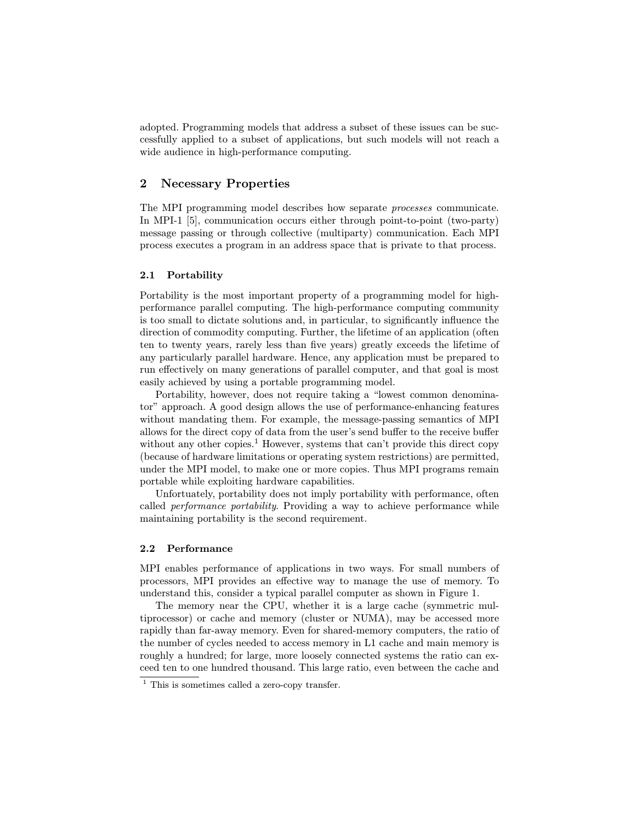adopted. Programming models that address a subset of these issues can be successfully applied to a subset of applications, but such models will not reach a wide audience in high-performance computing.

# 2 Necessary Properties

The MPI programming model describes how separate processes communicate. In MPI-1 [5], communication occurs either through point-to-point (two-party) message passing or through collective (multiparty) communication. Each MPI process executes a program in an address space that is private to that process.

## 2.1 Portability

Portability is the most important property of a programming model for highperformance parallel computing. The high-performance computing community is too small to dictate solutions and, in particular, to significantly influence the direction of commodity computing. Further, the lifetime of an application (often ten to twenty years, rarely less than five years) greatly exceeds the lifetime of any particularly parallel hardware. Hence, any application must be prepared to run effectively on many generations of parallel computer, and that goal is most easily achieved by using a portable programming model.

Portability, however, does not require taking a "lowest common denominator" approach. A good design allows the use of performance-enhancing features without mandating them. For example, the message-passing semantics of MPI allows for the direct copy of data from the user's send buffer to the receive buffer without any other copies.<sup>1</sup> However, systems that can't provide this direct copy (because of hardware limitations or operating system restrictions) are permitted, under the MPI model, to make one or more copies. Thus MPI programs remain portable while exploiting hardware capabilities.

Unfortuately, portability does not imply portability with performance, often called performance portability. Providing a way to achieve performance while maintaining portability is the second requirement.

## 2.2 Performance

MPI enables performance of applications in two ways. For small numbers of processors, MPI provides an effective way to manage the use of memory. To understand this, consider a typical parallel computer as shown in Figure 1.

The memory near the CPU, whether it is a large cache (symmetric multiprocessor) or cache and memory (cluster or NUMA), may be accessed more rapidly than far-away memory. Even for shared-memory computers, the ratio of the number of cycles needed to access memory in L1 cache and main memory is roughly a hundred; for large, more loosely connected systems the ratio can exceed ten to one hundred thousand. This large ratio, even between the cache and

<sup>&</sup>lt;sup>1</sup> This is sometimes called a zero-copy transfer.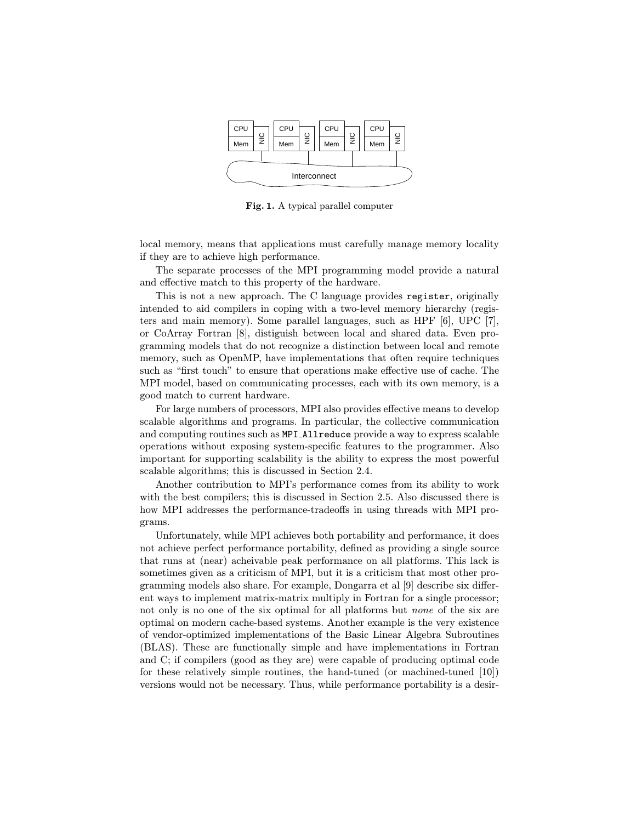

Fig. 1. A typical parallel computer

local memory, means that applications must carefully manage memory locality if they are to achieve high performance.

The separate processes of the MPI programming model provide a natural and effective match to this property of the hardware.

This is not a new approach. The C language provides register, originally intended to aid compilers in coping with a two-level memory hierarchy (registers and main memory). Some parallel languages, such as HPF [6], UPC [7], or CoArray Fortran [8], distiguish between local and shared data. Even programming models that do not recognize a distinction between local and remote memory, such as OpenMP, have implementations that often require techniques such as "first touch" to ensure that operations make effective use of cache. The MPI model, based on communicating processes, each with its own memory, is a good match to current hardware.

For large numbers of processors, MPI also provides effective means to develop scalable algorithms and programs. In particular, the collective communication and computing routines such as MPI Allreduce provide a way to express scalable operations without exposing system-specific features to the programmer. Also important for supporting scalability is the ability to express the most powerful scalable algorithms; this is discussed in Section 2.4.

Another contribution to MPI's performance comes from its ability to work with the best compilers; this is discussed in Section 2.5. Also discussed there is how MPI addresses the performance-tradeoffs in using threads with MPI programs.

Unfortunately, while MPI achieves both portability and performance, it does not achieve perfect performance portability, defined as providing a single source that runs at (near) acheivable peak performance on all platforms. This lack is sometimes given as a criticism of MPI, but it is a criticism that most other programming models also share. For example, Dongarra et al [9] describe six different ways to implement matrix-matrix multiply in Fortran for a single processor; not only is no one of the six optimal for all platforms but none of the six are optimal on modern cache-based systems. Another example is the very existence of vendor-optimized implementations of the Basic Linear Algebra Subroutines (BLAS). These are functionally simple and have implementations in Fortran and C; if compilers (good as they are) were capable of producing optimal code for these relatively simple routines, the hand-tuned (or machined-tuned [10]) versions would not be necessary. Thus, while performance portability is a desir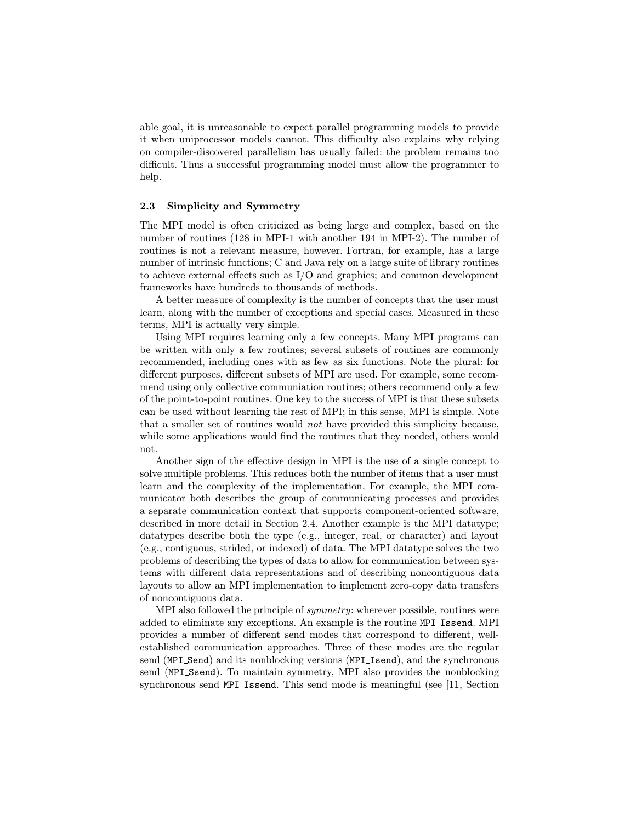able goal, it is unreasonable to expect parallel programming models to provide it when uniprocessor models cannot. This difficulty also explains why relying on compiler-discovered parallelism has usually failed: the problem remains too difficult. Thus a successful programming model must allow the programmer to help.

#### 2.3 Simplicity and Symmetry

The MPI model is often criticized as being large and complex, based on the number of routines (128 in MPI-1 with another 194 in MPI-2). The number of routines is not a relevant measure, however. Fortran, for example, has a large number of intrinsic functions; C and Java rely on a large suite of library routines to achieve external effects such as I/O and graphics; and common development frameworks have hundreds to thousands of methods.

A better measure of complexity is the number of concepts that the user must learn, along with the number of exceptions and special cases. Measured in these terms, MPI is actually very simple.

Using MPI requires learning only a few concepts. Many MPI programs can be written with only a few routines; several subsets of routines are commonly recommended, including ones with as few as six functions. Note the plural: for different purposes, different subsets of MPI are used. For example, some recommend using only collective communiation routines; others recommend only a few of the point-to-point routines. One key to the success of MPI is that these subsets can be used without learning the rest of MPI; in this sense, MPI is simple. Note that a smaller set of routines would not have provided this simplicity because, while some applications would find the routines that they needed, others would not.

Another sign of the effective design in MPI is the use of a single concept to solve multiple problems. This reduces both the number of items that a user must learn and the complexity of the implementation. For example, the MPI communicator both describes the group of communicating processes and provides a separate communication context that supports component-oriented software, described in more detail in Section 2.4. Another example is the MPI datatype; datatypes describe both the type (e.g., integer, real, or character) and layout (e.g., contiguous, strided, or indexed) of data. The MPI datatype solves the two problems of describing the types of data to allow for communication between systems with different data representations and of describing noncontiguous data layouts to allow an MPI implementation to implement zero-copy data transfers of noncontiguous data.

MPI also followed the principle of symmetry: wherever possible, routines were added to eliminate any exceptions. An example is the routine MPI Issend. MPI provides a number of different send modes that correspond to different, wellestablished communication approaches. Three of these modes are the regular send (MPI Send) and its nonblocking versions (MPI Isend), and the synchronous send (MPI Ssend). To maintain symmetry, MPI also provides the nonblocking synchronous send MPI Issend. This send mode is meaningful (see [11, Section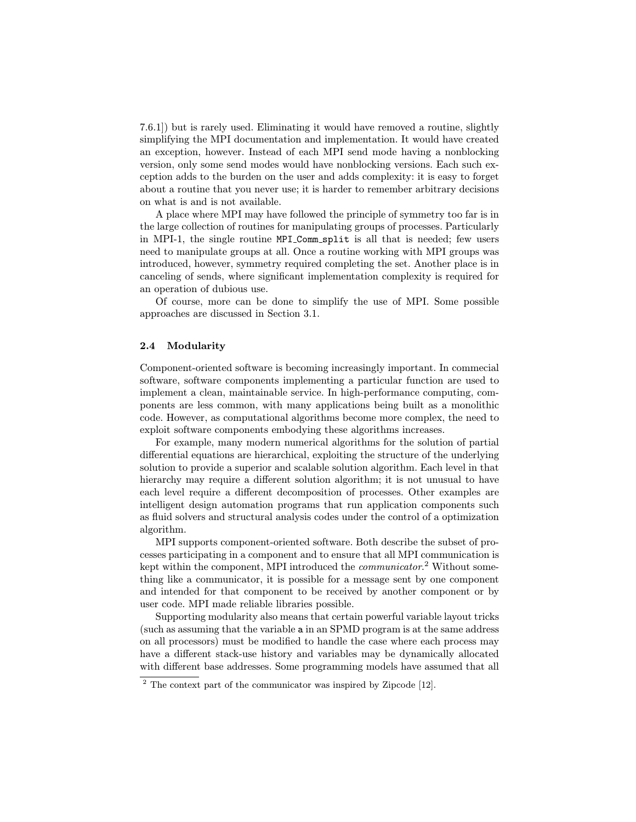7.6.1]) but is rarely used. Eliminating it would have removed a routine, slightly simplifying the MPI documentation and implementation. It would have created an exception, however. Instead of each MPI send mode having a nonblocking version, only some send modes would have nonblocking versions. Each such exception adds to the burden on the user and adds complexity: it is easy to forget about a routine that you never use; it is harder to remember arbitrary decisions on what is and is not available.

A place where MPI may have followed the principle of symmetry too far is in the large collection of routines for manipulating groups of processes. Particularly in MPI-1, the single routine MPI\_Comm\_split is all that is needed; few users need to manipulate groups at all. Once a routine working with MPI groups was introduced, however, symmetry required completing the set. Another place is in canceling of sends, where significant implementation complexity is required for an operation of dubious use.

Of course, more can be done to simplify the use of MPI. Some possible approaches are discussed in Section 3.1.

## 2.4 Modularity

Component-oriented software is becoming increasingly important. In commecial software, software components implementing a particular function are used to implement a clean, maintainable service. In high-performance computing, components are less common, with many applications being built as a monolithic code. However, as computational algorithms become more complex, the need to exploit software components embodying these algorithms increases.

For example, many modern numerical algorithms for the solution of partial differential equations are hierarchical, exploiting the structure of the underlying solution to provide a superior and scalable solution algorithm. Each level in that hierarchy may require a different solution algorithm; it is not unusual to have each level require a different decomposition of processes. Other examples are intelligent design automation programs that run application components such as fluid solvers and structural analysis codes under the control of a optimization algorithm.

MPI supports component-oriented software. Both describe the subset of processes participating in a component and to ensure that all MPI communication is kept within the component, MPI introduced the *communicator*.<sup>2</sup> Without something like a communicator, it is possible for a message sent by one component and intended for that component to be received by another component or by user code. MPI made reliable libraries possible.

Supporting modularity also means that certain powerful variable layout tricks (such as assuming that the variable a in an SPMD program is at the same address on all processors) must be modified to handle the case where each process may have a different stack-use history and variables may be dynamically allocated with different base addresses. Some programming models have assumed that all

 $2$  The context part of the communicator was inspired by Zipcode [12].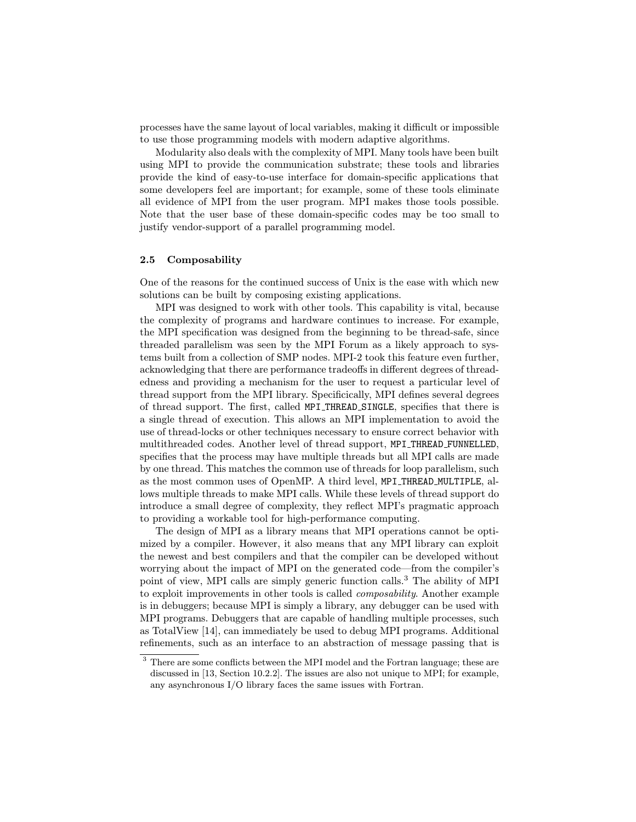processes have the same layout of local variables, making it difficult or impossible to use those programming models with modern adaptive algorithms.

Modularity also deals with the complexity of MPI. Many tools have been built using MPI to provide the communication substrate; these tools and libraries provide the kind of easy-to-use interface for domain-specific applications that some developers feel are important; for example, some of these tools eliminate all evidence of MPI from the user program. MPI makes those tools possible. Note that the user base of these domain-specific codes may be too small to justify vendor-support of a parallel programming model.

#### 2.5 Composability

One of the reasons for the continued success of Unix is the ease with which new solutions can be built by composing existing applications.

MPI was designed to work with other tools. This capability is vital, because the complexity of programs and hardware continues to increase. For example, the MPI specification was designed from the beginning to be thread-safe, since threaded parallelism was seen by the MPI Forum as a likely approach to systems built from a collection of SMP nodes. MPI-2 took this feature even further, acknowledging that there are performance tradeoffs in different degrees of threadedness and providing a mechanism for the user to request a particular level of thread support from the MPI library. Specificically, MPI defines several degrees of thread support. The first, called MPI THREAD SINGLE, specifies that there is a single thread of execution. This allows an MPI implementation to avoid the use of thread-locks or other techniques necessary to ensure correct behavior with multithreaded codes. Another level of thread support, MPI THREAD FUNNELLED, specifies that the process may have multiple threads but all MPI calls are made by one thread. This matches the common use of threads for loop parallelism, such as the most common uses of OpenMP. A third level, MPI THREAD MULTIPLE, allows multiple threads to make MPI calls. While these levels of thread support do introduce a small degree of complexity, they reflect MPI's pragmatic approach to providing a workable tool for high-performance computing.

The design of MPI as a library means that MPI operations cannot be optimized by a compiler. However, it also means that any MPI library can exploit the newest and best compilers and that the compiler can be developed without worrying about the impact of MPI on the generated code—from the compiler's point of view, MPI calls are simply generic function calls.<sup>3</sup> The ability of MPI to exploit improvements in other tools is called composability. Another example is in debuggers; because MPI is simply a library, any debugger can be used with MPI programs. Debuggers that are capable of handling multiple processes, such as TotalView [14], can immediately be used to debug MPI programs. Additional refinements, such as an interface to an abstraction of message passing that is

<sup>&</sup>lt;sup>3</sup> There are some conflicts between the MPI model and the Fortran language; these are discussed in [13, Section 10.2.2]. The issues are also not unique to MPI; for example, any asynchronous I/O library faces the same issues with Fortran.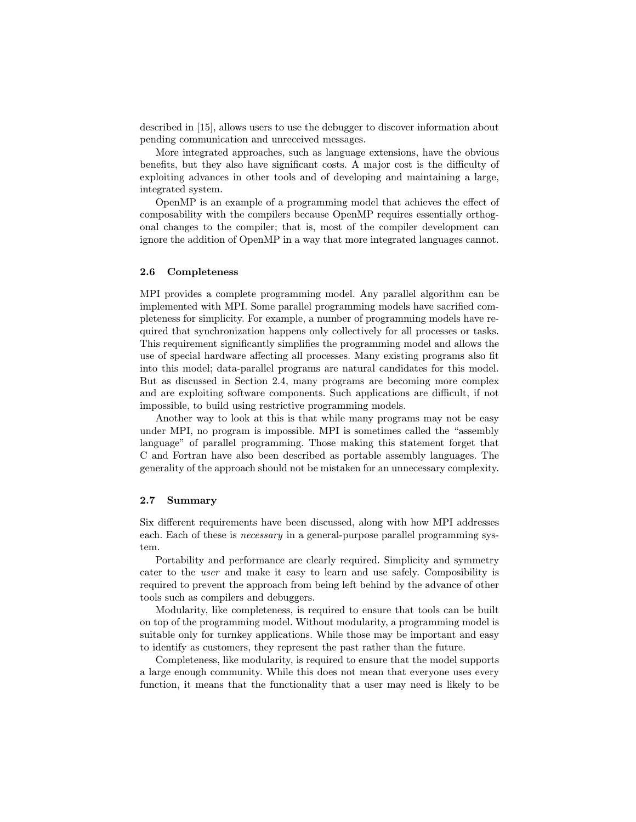described in [15], allows users to use the debugger to discover information about pending communication and unreceived messages.

More integrated approaches, such as language extensions, have the obvious benefits, but they also have significant costs. A major cost is the difficulty of exploiting advances in other tools and of developing and maintaining a large, integrated system.

OpenMP is an example of a programming model that achieves the effect of composability with the compilers because OpenMP requires essentially orthogonal changes to the compiler; that is, most of the compiler development can ignore the addition of OpenMP in a way that more integrated languages cannot.

## 2.6 Completeness

MPI provides a complete programming model. Any parallel algorithm can be implemented with MPI. Some parallel programming models have sacrified completeness for simplicity. For example, a number of programming models have required that synchronization happens only collectively for all processes or tasks. This requirement significantly simplifies the programming model and allows the use of special hardware affecting all processes. Many existing programs also fit into this model; data-parallel programs are natural candidates for this model. But as discussed in Section 2.4, many programs are becoming more complex and are exploiting software components. Such applications are difficult, if not impossible, to build using restrictive programming models.

Another way to look at this is that while many programs may not be easy under MPI, no program is impossible. MPI is sometimes called the "assembly language" of parallel programming. Those making this statement forget that C and Fortran have also been described as portable assembly languages. The generality of the approach should not be mistaken for an unnecessary complexity.

#### 2.7 Summary

Six different requirements have been discussed, along with how MPI addresses each. Each of these is *necessary* in a general-purpose parallel programming system.

Portability and performance are clearly required. Simplicity and symmetry cater to the user and make it easy to learn and use safely. Composibility is required to prevent the approach from being left behind by the advance of other tools such as compilers and debuggers.

Modularity, like completeness, is required to ensure that tools can be built on top of the programming model. Without modularity, a programming model is suitable only for turnkey applications. While those may be important and easy to identify as customers, they represent the past rather than the future.

Completeness, like modularity, is required to ensure that the model supports a large enough community. While this does not mean that everyone uses every function, it means that the functionality that a user may need is likely to be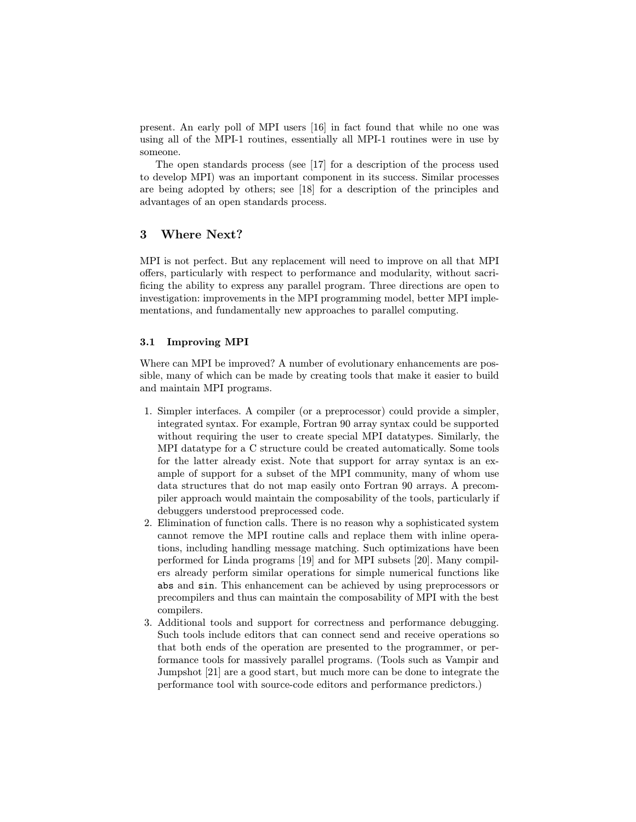present. An early poll of MPI users [16] in fact found that while no one was using all of the MPI-1 routines, essentially all MPI-1 routines were in use by someone.

The open standards process (see [17] for a description of the process used to develop MPI) was an important component in its success. Similar processes are being adopted by others; see [18] for a description of the principles and advantages of an open standards process.

# 3 Where Next?

MPI is not perfect. But any replacement will need to improve on all that MPI offers, particularly with respect to performance and modularity, without sacrificing the ability to express any parallel program. Three directions are open to investigation: improvements in the MPI programming model, better MPI implementations, and fundamentally new approaches to parallel computing.

## 3.1 Improving MPI

Where can MPI be improved? A number of evolutionary enhancements are possible, many of which can be made by creating tools that make it easier to build and maintain MPI programs.

- 1. Simpler interfaces. A compiler (or a preprocessor) could provide a simpler, integrated syntax. For example, Fortran 90 array syntax could be supported without requiring the user to create special MPI datatypes. Similarly, the MPI datatype for a C structure could be created automatically. Some tools for the latter already exist. Note that support for array syntax is an example of support for a subset of the MPI community, many of whom use data structures that do not map easily onto Fortran 90 arrays. A precompiler approach would maintain the composability of the tools, particularly if debuggers understood preprocessed code.
- 2. Elimination of function calls. There is no reason why a sophisticated system cannot remove the MPI routine calls and replace them with inline operations, including handling message matching. Such optimizations have been performed for Linda programs [19] and for MPI subsets [20]. Many compilers already perform similar operations for simple numerical functions like abs and sin. This enhancement can be achieved by using preprocessors or precompilers and thus can maintain the composability of MPI with the best compilers.
- 3. Additional tools and support for correctness and performance debugging. Such tools include editors that can connect send and receive operations so that both ends of the operation are presented to the programmer, or performance tools for massively parallel programs. (Tools such as Vampir and Jumpshot [21] are a good start, but much more can be done to integrate the performance tool with source-code editors and performance predictors.)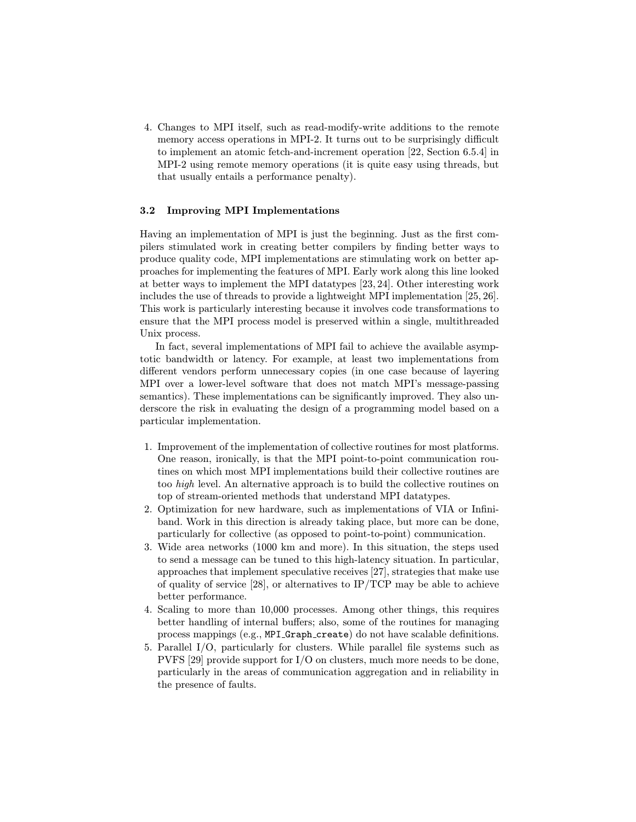4. Changes to MPI itself, such as read-modify-write additions to the remote memory access operations in MPI-2. It turns out to be surprisingly difficult to implement an atomic fetch-and-increment operation [22, Section 6.5.4] in MPI-2 using remote memory operations (it is quite easy using threads, but that usually entails a performance penalty).

## 3.2 Improving MPI Implementations

Having an implementation of MPI is just the beginning. Just as the first compilers stimulated work in creating better compilers by finding better ways to produce quality code, MPI implementations are stimulating work on better approaches for implementing the features of MPI. Early work along this line looked at better ways to implement the MPI datatypes [23, 24]. Other interesting work includes the use of threads to provide a lightweight MPI implementation [25, 26]. This work is particularly interesting because it involves code transformations to ensure that the MPI process model is preserved within a single, multithreaded Unix process.

In fact, several implementations of MPI fail to achieve the available asymptotic bandwidth or latency. For example, at least two implementations from different vendors perform unnecessary copies (in one case because of layering MPI over a lower-level software that does not match MPI's message-passing semantics). These implementations can be significantly improved. They also underscore the risk in evaluating the design of a programming model based on a particular implementation.

- 1. Improvement of the implementation of collective routines for most platforms. One reason, ironically, is that the MPI point-to-point communication routines on which most MPI implementations build their collective routines are too high level. An alternative approach is to build the collective routines on top of stream-oriented methods that understand MPI datatypes.
- 2. Optimization for new hardware, such as implementations of VIA or Infiniband. Work in this direction is already taking place, but more can be done, particularly for collective (as opposed to point-to-point) communication.
- 3. Wide area networks (1000 km and more). In this situation, the steps used to send a message can be tuned to this high-latency situation. In particular, approaches that implement speculative receives [27], strategies that make use of quality of service [28], or alternatives to  $IP/TCP$  may be able to achieve better performance.
- 4. Scaling to more than 10,000 processes. Among other things, this requires better handling of internal buffers; also, some of the routines for managing process mappings (e.g., MPI Graph create) do not have scalable definitions.
- 5. Parallel I/O, particularly for clusters. While parallel file systems such as PVFS [29] provide support for I/O on clusters, much more needs to be done, particularly in the areas of communication aggregation and in reliability in the presence of faults.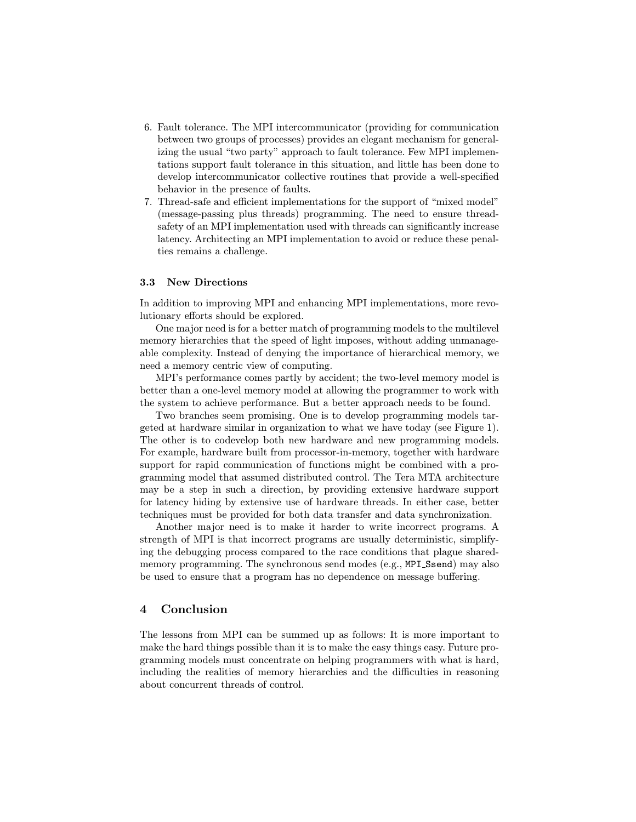- 6. Fault tolerance. The MPI intercommunicator (providing for communication between two groups of processes) provides an elegant mechanism for generalizing the usual "two party" approach to fault tolerance. Few MPI implementations support fault tolerance in this situation, and little has been done to develop intercommunicator collective routines that provide a well-specified behavior in the presence of faults.
- 7. Thread-safe and efficient implementations for the support of "mixed model" (message-passing plus threads) programming. The need to ensure threadsafety of an MPI implementation used with threads can significantly increase latency. Architecting an MPI implementation to avoid or reduce these penalties remains a challenge.

## 3.3 New Directions

In addition to improving MPI and enhancing MPI implementations, more revolutionary efforts should be explored.

One major need is for a better match of programming models to the multilevel memory hierarchies that the speed of light imposes, without adding unmanageable complexity. Instead of denying the importance of hierarchical memory, we need a memory centric view of computing.

MPI's performance comes partly by accident; the two-level memory model is better than a one-level memory model at allowing the programmer to work with the system to achieve performance. But a better approach needs to be found.

Two branches seem promising. One is to develop programming models targeted at hardware similar in organization to what we have today (see Figure 1). The other is to codevelop both new hardware and new programming models. For example, hardware built from processor-in-memory, together with hardware support for rapid communication of functions might be combined with a programming model that assumed distributed control. The Tera MTA architecture may be a step in such a direction, by providing extensive hardware support for latency hiding by extensive use of hardware threads. In either case, better techniques must be provided for both data transfer and data synchronization.

Another major need is to make it harder to write incorrect programs. A strength of MPI is that incorrect programs are usually deterministic, simplifying the debugging process compared to the race conditions that plague sharedmemory programming. The synchronous send modes (e.g., MPI\_Ssend) may also be used to ensure that a program has no dependence on message buffering.

## 4 Conclusion

The lessons from MPI can be summed up as follows: It is more important to make the hard things possible than it is to make the easy things easy. Future programming models must concentrate on helping programmers with what is hard, including the realities of memory hierarchies and the difficulties in reasoning about concurrent threads of control.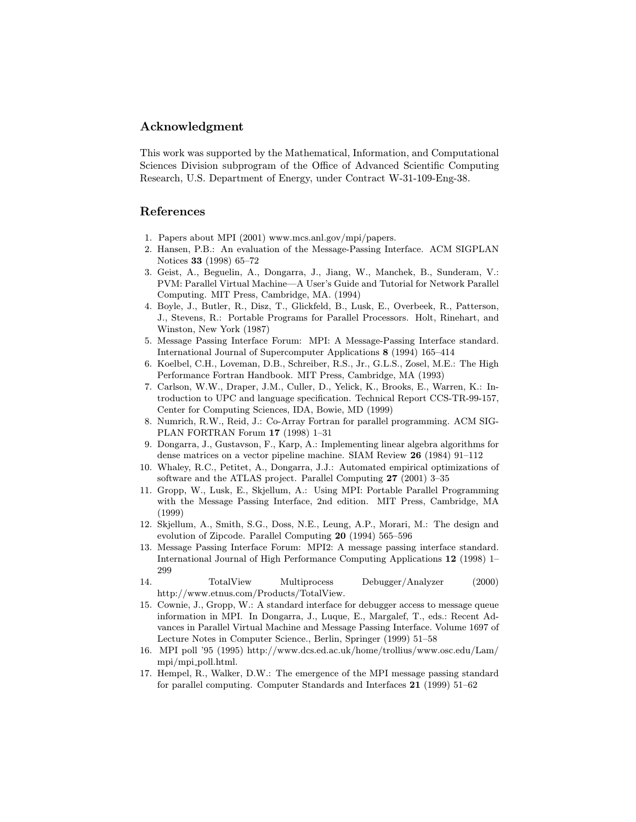## Acknowledgment

This work was supported by the Mathematical, Information, and Computational Sciences Division subprogram of the Office of Advanced Scientific Computing Research, U.S. Department of Energy, under Contract W-31-109-Eng-38.

# References

- 1. Papers about MPI (2001) www.mcs.anl.gov/mpi/papers.
- 2. Hansen, P.B.: An evaluation of the Message-Passing Interface. ACM SIGPLAN Notices 33 (1998) 65–72
- 3. Geist, A., Beguelin, A., Dongarra, J., Jiang, W., Manchek, B., Sunderam, V.: PVM: Parallel Virtual Machine—A User's Guide and Tutorial for Network Parallel Computing. MIT Press, Cambridge, MA. (1994)
- 4. Boyle, J., Butler, R., Disz, T., Glickfeld, B., Lusk, E., Overbeek, R., Patterson, J., Stevens, R.: Portable Programs for Parallel Processors. Holt, Rinehart, and Winston, New York (1987)
- 5. Message Passing Interface Forum: MPI: A Message-Passing Interface standard. International Journal of Supercomputer Applications 8 (1994) 165–414
- 6. Koelbel, C.H., Loveman, D.B., Schreiber, R.S., Jr., G.L.S., Zosel, M.E.: The High Performance Fortran Handbook. MIT Press, Cambridge, MA (1993)
- 7. Carlson, W.W., Draper, J.M., Culler, D., Yelick, K., Brooks, E., Warren, K.: Introduction to UPC and language specification. Technical Report CCS-TR-99-157, Center for Computing Sciences, IDA, Bowie, MD (1999)
- 8. Numrich, R.W., Reid, J.: Co-Array Fortran for parallel programming. ACM SIG-PLAN FORTRAN Forum 17 (1998) 1–31
- 9. Dongarra, J., Gustavson, F., Karp, A.: Implementing linear algebra algorithms for dense matrices on a vector pipeline machine. SIAM Review 26 (1984) 91–112
- 10. Whaley, R.C., Petitet, A., Dongarra, J.J.: Automated empirical optimizations of software and the ATLAS project. Parallel Computing 27 (2001) 3–35
- 11. Gropp, W., Lusk, E., Skjellum, A.: Using MPI: Portable Parallel Programming with the Message Passing Interface, 2nd edition. MIT Press, Cambridge, MA (1999)
- 12. Skjellum, A., Smith, S.G., Doss, N.E., Leung, A.P., Morari, M.: The design and evolution of Zipcode. Parallel Computing 20 (1994) 565–596
- 13. Message Passing Interface Forum: MPI2: A message passing interface standard. International Journal of High Performance Computing Applications 12 (1998) 1– 299
- 14. TotalView Multiprocess Debugger/Analyzer (2000) http://www.etnus.com/Products/TotalView.
- 15. Cownie, J., Gropp, W.: A standard interface for debugger access to message queue information in MPI. In Dongarra, J., Luque, E., Margalef, T., eds.: Recent Advances in Parallel Virtual Machine and Message Passing Interface. Volume 1697 of Lecture Notes in Computer Science., Berlin, Springer (1999) 51–58
- 16. MPI poll '95 (1995) http://www.dcs.ed.ac.uk/home/trollius/www.osc.edu/Lam/ mpi/mpi poll.html.
- 17. Hempel, R., Walker, D.W.: The emergence of the MPI message passing standard for parallel computing. Computer Standards and Interfaces 21 (1999) 51–62